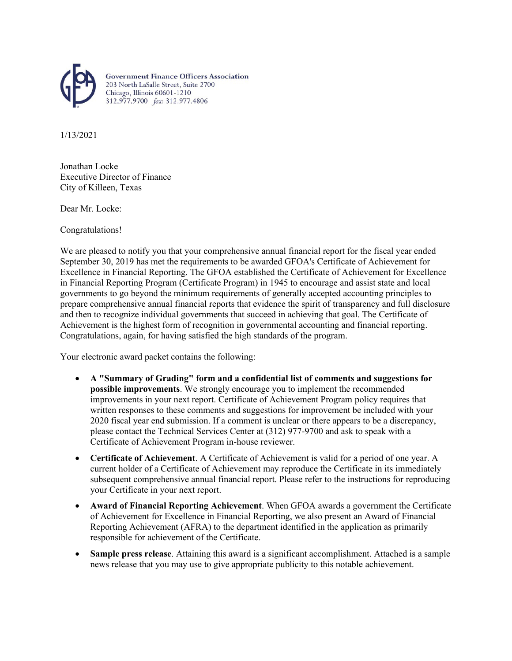

**Government Finance Officers Association** 203 North LaSalle Street, Suite 2700<br>Chicago, Illinois 60601-1210 312.977.9700 fax: 312.977.4806

1/13/2021

Jonathan Locke Executive Director of Finance City of Killeen, Texas

Dear Mr. Locke:

Congratulations!

We are pleased to notify you that your comprehensive annual financial report for the fiscal year ended September 30, 2019 has met the requirements to be awarded GFOA's Certificate of Achievement for Excellence in Financial Reporting. The GFOA established the Certificate of Achievement for Excellence in Financial Reporting Program (Certificate Program) in 1945 to encourage and assist state and local governments to go beyond the minimum requirements of generally accepted accounting principles to prepare comprehensive annual financial reports that evidence the spirit of transparency and full disclosure and then to recognize individual governments that succeed in achieving that goal. The Certificate of Achievement is the highest form of recognition in governmental accounting and financial reporting. Congratulations, again, for having satisfied the high standards of the program.

Your electronic award packet contains the following:

- **A "Summary of Grading" form and a confidential list of comments and suggestions for possible improvements**. We strongly encourage you to implement the recommended improvements in your next report. Certificate of Achievement Program policy requires that written responses to these comments and suggestions for improvement be included with your 2020 fiscal year end submission. If a comment is unclear or there appears to be a discrepancy, please contact the Technical Services Center at (312) 977-9700 and ask to speak with a Certificate of Achievement Program in-house reviewer.
- **Certificate of Achievement**. A Certificate of Achievement is valid for a period of one year. A current holder of a Certificate of Achievement may reproduce the Certificate in its immediately subsequent comprehensive annual financial report. Please refer to the instructions for reproducing your Certificate in your next report.
- **Award of Financial Reporting Achievement**. When GFOA awards a government the Certificate of Achievement for Excellence in Financial Reporting, we also present an Award of Financial Reporting Achievement (AFRA) to the department identified in the application as primarily responsible for achievement of the Certificate.
- **Sample press release**. Attaining this award is a significant accomplishment. Attached is a sample news release that you may use to give appropriate publicity to this notable achievement.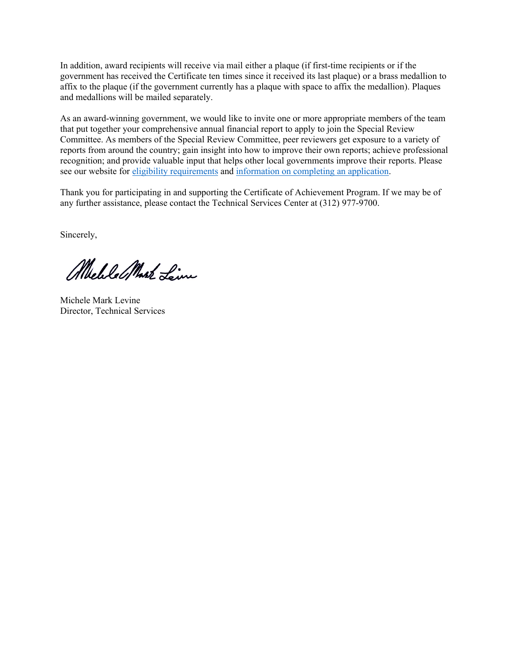In addition, award recipients will receive via mail either a plaque (if first-time recipients or if the government has received the Certificate ten times since it received its last plaque) or a brass medallion to affix to the plaque (if the government currently has a plaque with space to affix the medallion). Plaques and medallions will be mailed separately.

As an award-winning government, we would like to invite one or more appropriate members of the team that put together your comprehensive annual financial report to apply to join the Special Review Committee. As members of the Special Review Committee, peer reviewers get exposure to a variety of reports from around the country; gain insight into how to improve their own reports; achieve professional recognition; and provide valuable input that helps other local governments improve their reports. Please see our website for eligibility [requirements](https://www.gfoa.org/CAFR-reviewer-eligibility) and [information](https://gfoa.org/certificate-achievement-excellence-financial-reporting-program-special-review-committee-applicatio-0) on completing an application.

Thank you for participating in and supporting the Certificate of Achievement Program. If we may be of any further assistance, please contact the Technical Services Center at (312) 977-9700.

Sincerely,

Melle Mark Line

Michele Mark Levine Director, Technical Services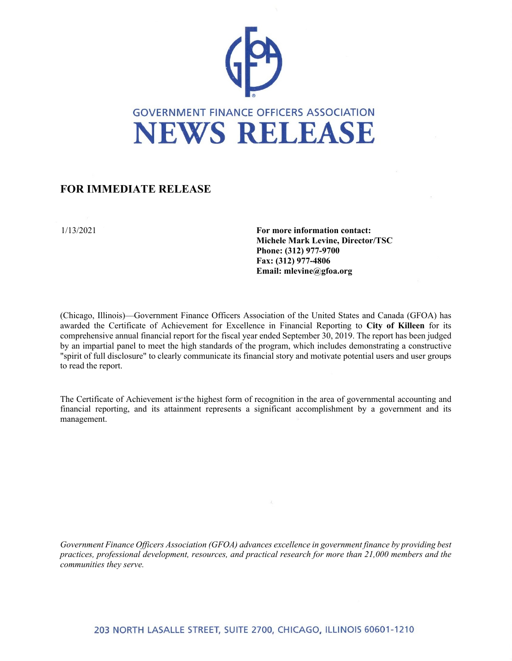

## **FOR IMMEDIATE RELEASE**

1/13/2021 **For more information contact: Michele Mark Levine, Director/TSC Phone: (312) 977-9700 Fax: (312) 977-4806 Email: mlevine@gfoa.org**

(Chicago, Illinois)—Government Finance Officers Association of the United States and Canada (GFOA) has awarded the Certificate of Achievement for Excellence in Financial Reporting to **City of Killeen** for its comprehensive annual financial report for the fiscal year ended September 30, 2019. The report has been judged by an impartial panel to meet the high standards of the program, which includes demonstrating a constructive "spirit of full disclosure" to clearly communicate its financial story and motivate potential users and user groups to read the report.

The Certificate of Achievement is the highest form of recognition in the area of governmental accounting and financial reporting, and its attainment represents a significant accomplishment by a government and its management.

*Government Finance Officers Association (GFOA) advances excellence in government finance by providing best practices, professional development, resources, and practical research for more than 21,000 members and the communities they serve.*